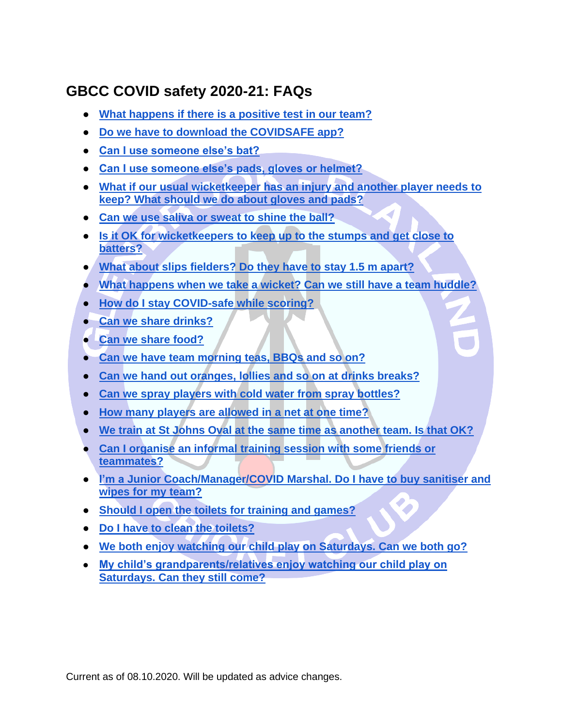# **GBCC COVID safety 2020-21: FAQs**

- **What happens if there is a positive test in our team?**
- **[Do we have to download the COVIDSAFE app?](#page-1-0)**
- **[Can I use someone else's bat?](#page-1-1)**
- **[Can I use someone else's pads, gloves or helmet?](#page-1-1)**
- **[What if our usual wicketkeeper has an injury and another player needs to](#page-1-2)  [keep? What should we do about gloves and pads?](#page-1-2)**
- **Can we use saliva or sweat to shine the ball?**
- **[Is it OK for wicketkeepers to keep up to the stumps and get close to](#page-1-3)  [batters?](#page-1-3)**
- **[What about slips fielders? Do they have to stay 1.5 m apart?](#page-1-4)**
- **[What happens when we take a wicket? Can we still have a team huddle?](#page-1-5)**
- **[How do I stay COVID-safe while scoring?](#page-1-6)**
- **[Can we share drinks?](#page-2-0)**
- **[Can we share food?](#page-2-1)**
- **[Can we have team morning teas, BBQs and so on?](#page-2-2)**
- **[Can we hand out oranges, lollies and so on at drinks breaks?](#page-2-3)**
- **[Can we spray players with cold water from spray bottles?](#page-2-4)**
- **[How many players are allowed in a net at one time?](#page-2-5)**
- **[We train at St Johns Oval at the same time as another team. Is that OK?](#page-2-6)**
- **[Can I organise an informal training session with some friends or](#page-2-7)  [teammates?](#page-2-7)**
- **[I'm a Junior Coach/Manager/COVID Marshal. Do I have to buy sanitiser and](#page-2-8)  [wipes for my team?](#page-2-8)**
- **[Should I open the toilets for training and games?](#page-3-0)**
- **[Do I have to clean the toilets?](#page-3-1)**
- **[We both enjoy watching our child play on Saturdays. Can we both go?](#page-3-2)**
- **My child's grandparents/relatives enjoy watching our child play on Saturdays. Can they still come?**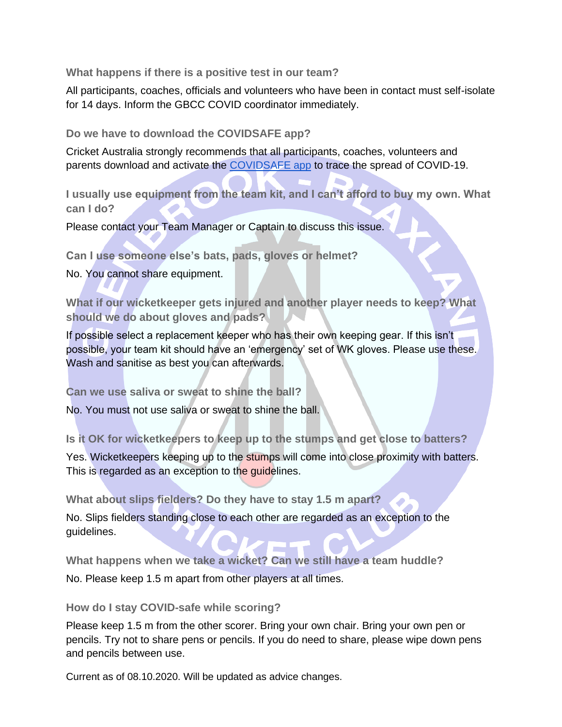**What happens if there is a positive test in our team?**

All participants, coaches, officials and volunteers who have been in contact must self-isolate for 14 days. Inform the GBCC COVID coordinator immediately.

<span id="page-1-0"></span>**Do we have to download the COVIDSAFE app?**

Cricket Australia strongly recommends that all participants, coaches, volunteers and parents download and activate the [COVIDSAFE app](https://www.health.gov.au/resources/apps-and-tools/covidsafe-app) to trace the spread of COVID-19.

**I usually use equipment from the team kit, and I can't afford to buy my own. What can I do?**

<span id="page-1-1"></span>Please contact your Team Manager or Captain to discuss this issue.

**Can I use someone else's bats, pads, gloves or helmet?**

<span id="page-1-2"></span>No. You cannot share equipment.

**What if our wicketkeeper gets injured and another player needs to keep? What should we do about gloves and pads?**

If possible select a replacement keeper who has their own keeping gear. If this isn't possible, your team kit should have an 'emergency' set of WK gloves. Please use these. Wash and sanitise as best you can afterwards.

**Can we use saliva or sweat to shine the ball?**

No. You must not use saliva or sweat to shine the ball.

<span id="page-1-3"></span>**Is it OK for wicketkeepers to keep up to the stumps and get close to batters?**

Yes. Wicketkeepers keeping up to the stumps will come into close proximity with batters. This is regarded as an exception to the guidelines.

<span id="page-1-4"></span>**What about slips fielders? Do they have to stay 1.5 m apart?**

No. Slips fielders standing close to each other are regarded as an exception to the guidelines.

<span id="page-1-5"></span>**What happens when we take a wicket? Can we still have a team huddle?** No. Please keep 1.5 m apart from other players at all times.

## <span id="page-1-6"></span>**How do I stay COVID-safe while scoring?**

Please keep 1.5 m from the other scorer. Bring your own chair. Bring your own pen or pencils. Try not to share pens or pencils. If you do need to share, please wipe down pens and pencils between use.

Current as of 08.10.2020. Will be updated as advice changes.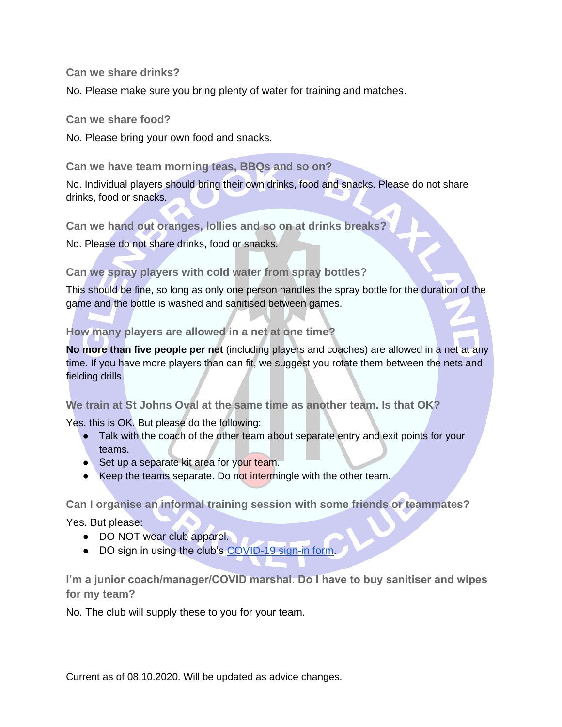#### <span id="page-2-0"></span>**Can we share drinks?**

<span id="page-2-1"></span>No. Please make sure you bring plenty of water for training and matches.

#### **Can we share food?**

<span id="page-2-2"></span>No. Please bring your own food and snacks.

**Can we have team morning teas, BBQs and so on?**

No. Individual players should bring their own drinks, food and snacks. Please do not share drinks, food or snacks.

<span id="page-2-3"></span>**Can we hand out oranges, lollies and so on at drinks breaks?**

<span id="page-2-4"></span>No. Please do not share drinks, food or snacks.

## **Can we spray players with cold water from spray bottles?**

This should be fine, so long as only one person handles the spray bottle for the duration of the game and the bottle is washed and sanitised between games.

## <span id="page-2-5"></span>**How many players are allowed in a net at one time?**

**No more than five people per net** (including players and coaches) are allowed in a net at any time. If you have more players than can fit, we suggest you rotate them between the nets and fielding drills.

## <span id="page-2-6"></span>**We train at St Johns Oval at the same time as another team. Is that OK?**

Yes, this is OK. But please do the following:

- Talk with the coach of the other team about separate entry and exit points for your teams.
- Set up a separate kit area for your team.
- Keep the teams separate. Do not intermingle with the other team.

<span id="page-2-7"></span>**Can I organise an informal training session with some friends or teammates?**

Yes. But please:

- DO NOT wear club apparel.
- DO sign in using the club's [COVID-19 sign-in form.](https://www.gbcc.com.au/covid-19-sign-in-form)

<span id="page-2-8"></span>**I'm a junior coach/manager/COVID marshal. Do I have to buy sanitiser and wipes for my team?**

No. The club will supply these to you for your team.

Current as of 08.10.2020. Will be updated as advice changes.